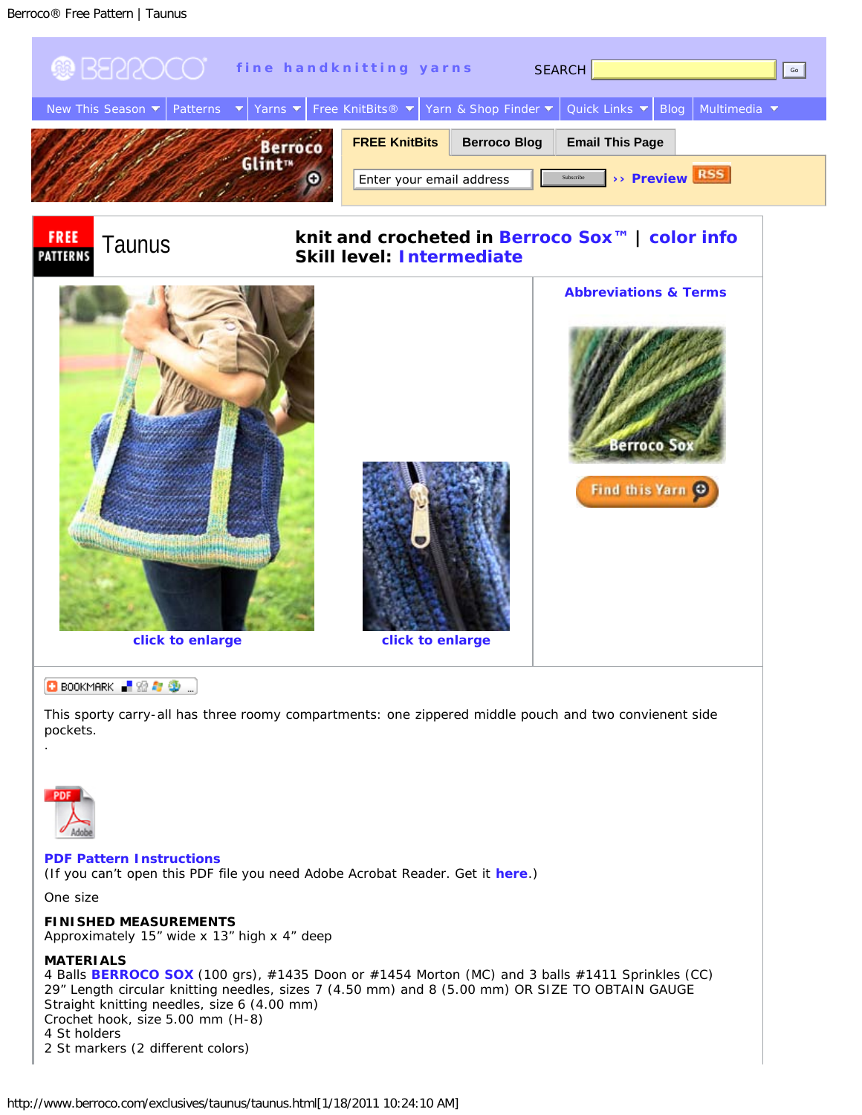<span id="page-0-1"></span>

<span id="page-0-0"></span>2 St markers (2 different colors)